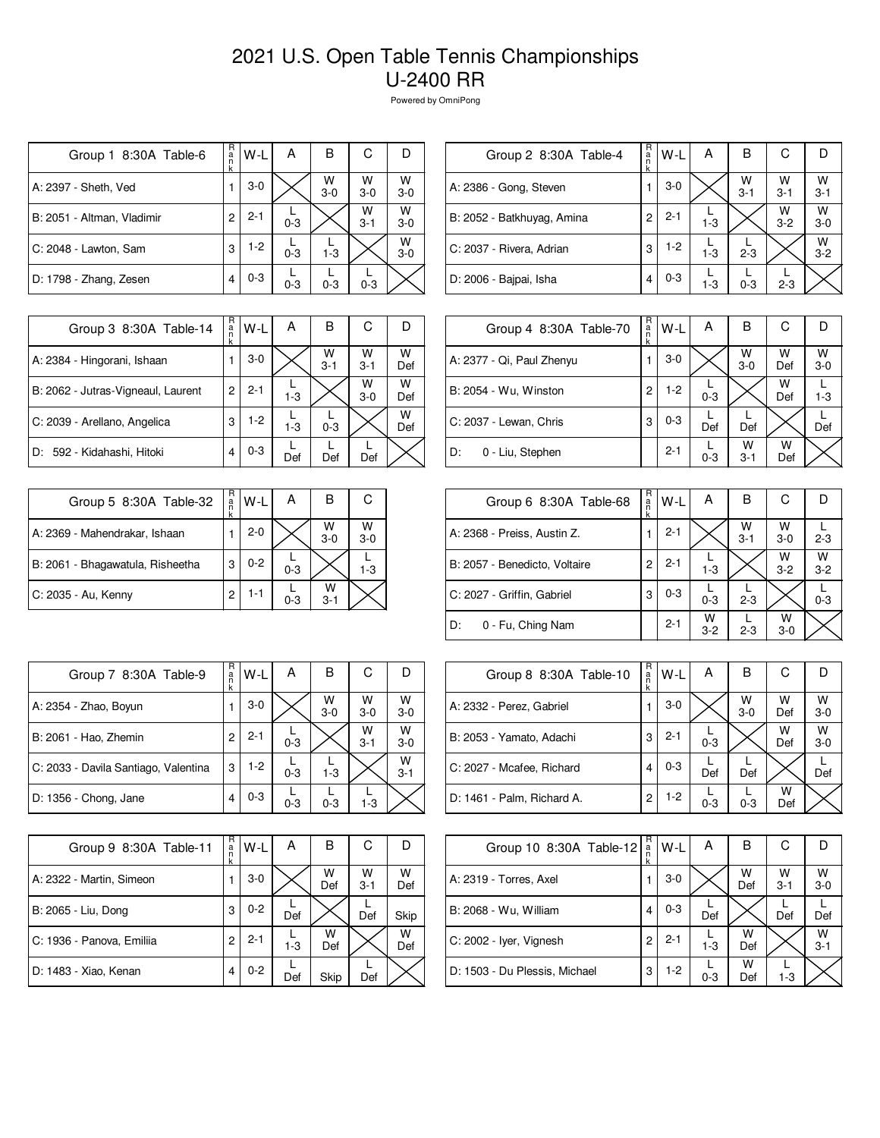| Group 1 8:30A Table-6      | R<br>a<br>n<br>k | W-L     | А       | в          | С            |            |
|----------------------------|------------------|---------|---------|------------|--------------|------------|
| A: 2397 - Sheth, Ved       |                  | $3-0$   |         | W<br>$3-0$ | W<br>$3-0$   | W<br>$3-0$ |
| B: 2051 - Altman, Vladimir | 2                | $2 - 1$ | $0 - 3$ |            | W<br>$3 - 1$ | W<br>$3-0$ |
| C: 2048 - Lawton, Sam      | 3                | $1-2$   | $0 - 3$ | $1 - 3$    |              | W<br>$3-0$ |
| D: 1798 - Zhang, Zesen     | 4                | $0 - 3$ | $0 - 3$ | $0 - 3$    | $0 - 3$      |            |

| Group 2 8:30A Table-4      | R<br>a<br>n<br>k | W-L     | Α       | в            | С            |                 |
|----------------------------|------------------|---------|---------|--------------|--------------|-----------------|
| A: 2386 - Gong, Steven     |                  | $3-0$   |         | W<br>$3 - 1$ | W<br>$3 - 1$ | $\frac{W}{3-1}$ |
| B: 2052 - Batkhuyag, Amina | 2                | $2 - 1$ | $1 - 3$ |              | W<br>$3 - 2$ | W<br>$3 - 0$    |
| C: 2037 - Rivera, Adrian   | 3                | $1-2$   | $1-3$   | $2 - 3$      |              | W<br>$3 - 2$    |
| D: 2006 - Bajpai, Isha     | 4                | $0 - 3$ | $1 - 3$ | $0 - 3$      | $2 - 3$      |                 |

| Group 3 8:30A Table-14             | R<br>a<br>k | W-L     | А       | В            | С            |          |
|------------------------------------|-------------|---------|---------|--------------|--------------|----------|
| A: 2384 - Hingorani, Ishaan        |             | $3-0$   |         | w<br>$3 - 1$ | W<br>$3 - 1$ | w<br>Def |
| B: 2062 - Jutras-Vigneaul, Laurent | 2           | $2 - 1$ | $1-3$   |              | W<br>$3-0$   | w<br>Def |
| C: 2039 - Arellano, Angelica       | 3           | $1-2$   | $1 - 3$ | $0 - 3$      |              | w<br>Def |
| D: 592 - Kidahashi, Hitoki         |             | $0 - 3$ | Def     | Def          | Def          |          |

| Group 5 8:30A Table-32           | R<br>$\frac{a}{n}$ | W-L     | А       | В            | С          |
|----------------------------------|--------------------|---------|---------|--------------|------------|
| A: 2369 - Mahendrakar, Ishaan    |                    | $2 - 0$ |         | W<br>$3 - 0$ | W<br>$3-0$ |
| B: 2061 - Bhagawatula, Risheetha | 3                  | $0 - 2$ | $0 - 3$ |              | $1 - 3$    |
| C: 2035 - Au, Kenny              | 2                  | $1 - 1$ | $0 - 3$ | W<br>$3-1$   |            |

| Group 4 8:30A Table-70    | R<br>a<br>n<br>k | W-L     | А       | в            | С        |            |
|---------------------------|------------------|---------|---------|--------------|----------|------------|
| A: 2377 - Qi, Paul Zhenyu |                  | $3-0$   |         | W<br>$3 - 0$ | W<br>Def | W<br>$3-0$ |
| B: 2054 - Wu, Winston     | 2                | $1-2$   | $0 - 3$ |              | W<br>Def | $1 - 3$    |
| C: 2037 - Lewan, Chris    | 3                | $0 - 3$ | Def     | Def          |          | Def        |
| 0 - Liu, Stephen<br>D:    |                  | $2 - 1$ | $0 - 3$ | W<br>$3 - 1$ | w<br>Def |            |

| Group 6 8:30A Table-68        | R<br>$\frac{a}{n}$<br>k | W-L     | А          | в            | С            |            |
|-------------------------------|-------------------------|---------|------------|--------------|--------------|------------|
| A: 2368 - Preiss, Austin Z.   |                         | $2 - 1$ |            | W<br>$3 - 1$ | W<br>$3-0$   | $2 - 3$    |
| B: 2057 - Benedicto, Voltaire | 2                       | $2 - 1$ | $1 - 3$    |              | W<br>$3 - 2$ | W<br>$3-2$ |
| C: 2027 - Griffin, Gabriel    | 3                       | $0 - 3$ | $0 - 3$    | $2 - 3$      |              | $0 - 3$    |
| ID:<br>0 - Fu, Ching Nam      |                         | $2 - 1$ | W<br>$3-2$ | $2 - 3$      | W<br>$3-0$   |            |

| R<br>С<br>В<br>А<br>W-L<br>Group 7 8:30A Table-9<br>a<br>W<br>w<br>W<br>$3-0$<br>$3 - 0$<br>$3 - 0$<br>$3 - 0$<br>W<br>W<br>$2 - 1$<br>2<br>$3-0$<br>$3 - 1$<br>$0 - 3$<br>W<br>1-2<br>3<br>$3 - 1$<br>$1-3$<br>$0 - 3$<br>$0 - 3$<br>4<br>$0 - 3$<br>$0 - 3$<br>$1 - 3$ |                                      |  |  |  |
|--------------------------------------------------------------------------------------------------------------------------------------------------------------------------------------------------------------------------------------------------------------------------|--------------------------------------|--|--|--|
|                                                                                                                                                                                                                                                                          |                                      |  |  |  |
|                                                                                                                                                                                                                                                                          | A: 2354 - Zhao, Boyun                |  |  |  |
|                                                                                                                                                                                                                                                                          | B: 2061 - Hao, Zhemin                |  |  |  |
|                                                                                                                                                                                                                                                                          | C: 2033 - Davila Santiago, Valentina |  |  |  |
|                                                                                                                                                                                                                                                                          | D: 1356 - Chong, Jane                |  |  |  |

| Group 9 8:30A Table-11    | R<br>a<br>n<br>k | W-L     | А     | в        | С            |          |
|---------------------------|------------------|---------|-------|----------|--------------|----------|
| A: 2322 - Martin, Simeon  |                  | $3-0$   |       | W<br>Def | w<br>$3 - 1$ | W<br>Def |
| B: 2065 - Liu, Dong       | 3                | $0 - 2$ | Def   |          | Def          | Skip     |
| C: 1936 - Panova, Emiliia | 2                | $2 - 1$ | $1-3$ | w<br>Def |              | W<br>Def |
| D: 1483 - Xiao, Kenan     | 4                | $0 - 2$ | Def   | Skip     | Def          |          |

| Group 8 8:30A Table-10     | R<br>a<br>n<br>k | $W-L$   | А       | В          | С        |            |
|----------------------------|------------------|---------|---------|------------|----------|------------|
| A: 2332 - Perez, Gabriel   |                  | $3-0$   |         | W<br>$3-0$ | W<br>Def | W<br>$3-0$ |
| B: 2053 - Yamato, Adachi   | 3                | $2 - 1$ | $0 - 3$ |            | W<br>Def | w<br>$3-0$ |
| C: 2027 - Mcafee, Richard  | 4                | $0 - 3$ | Def     | Def        |          | Def        |
| D: 1461 - Palm, Richard A. | 2                | 1-2     | $0 - 3$ | $0 - 3$    | w<br>Def |            |

| Group 10 8:30A Table-12       | R<br>$\frac{a}{n}$ | $W-L$   | А       | В        | С            |              |
|-------------------------------|--------------------|---------|---------|----------|--------------|--------------|
| A: 2319 - Torres, Axel        |                    | $3-0$   |         | W<br>Def | W<br>$3 - 1$ | W<br>$3-0$   |
| B: 2068 - Wu, William         | 4                  | $0 - 3$ | Def     |          | Def          | Def          |
| C: 2002 - Iyer, Vignesh       | 2                  | $2 - 1$ | $1-3$   | W<br>Def |              | w<br>$3 - 1$ |
| D: 1503 - Du Plessis, Michael | 3                  | $1-2$   | $0 - 3$ | W<br>Def | $1 - 3$      |              |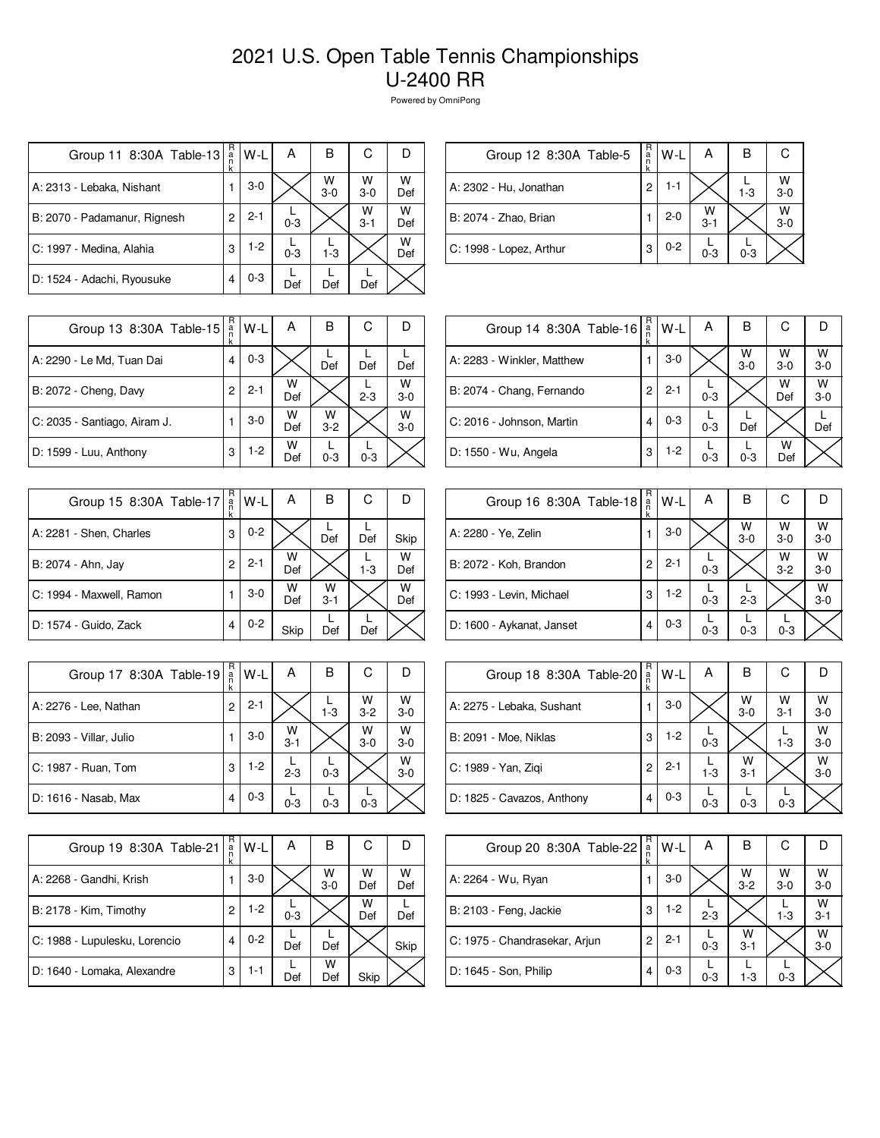| Group 11 8:30A Table-13      | R<br>a<br>n<br>k | W-L     | А       | В          | С            |          |
|------------------------------|------------------|---------|---------|------------|--------------|----------|
| A: 2313 - Lebaka, Nishant    |                  | $3-0$   |         | W<br>$3-0$ | W<br>$3-0$   | w<br>Def |
| B: 2070 - Padamanur, Rignesh | 2                | $2 - 1$ | $0 - 3$ |            | W<br>$3 - 1$ | w<br>Def |
| C: 1997 - Medina, Alahia     | 3                | $1-2$   | $0 - 3$ | $1 - 3$    |              | w<br>Def |
| D: 1524 - Adachi, Ryousuke   | 4                | $0 - 3$ | Def     | Def        | Def          |          |

| Group 12 8:30A Table-5  | $R$ a n $R$ | $W-L$   | А            | в       |              |
|-------------------------|-------------|---------|--------------|---------|--------------|
| A: 2302 - Hu, Jonathan  | 2           | 1-1     |              | $1 - 3$ | W<br>$3 - 0$ |
| B: 2074 - Zhao, Brian   |             | $2 - 0$ | W<br>$3 - 1$ |         | W<br>$3 - 0$ |
| C: 1998 - Lopez, Arthur | 3           | $0 - 2$ | $0 - 3$      | $0 - 3$ |              |

| Group 13 8:30A Table-15      | R<br>a | W-L     | Α        | В          | С       |              |
|------------------------------|--------|---------|----------|------------|---------|--------------|
| A: 2290 - Le Md, Tuan Dai    | 4      | $0 - 3$ |          | Def        | Def     | Def          |
| B: 2072 - Cheng, Davy        | 2      | $2 - 1$ | W<br>Def |            | $2 - 3$ | W<br>$3 - 0$ |
| C: 2035 - Santiago, Airam J. |        | $3 - 0$ | W<br>Def | w<br>$3-2$ |         | W<br>$3 - 0$ |
| D: 1599 - Luu, Anthony       | 3      | $1-2$   | W<br>Def | $0 - 3$    | $0 - 3$ |              |

| Group 15 8:30A Table-17  | R<br>a<br>k | W-L     | А        | В            | С       |          |
|--------------------------|-------------|---------|----------|--------------|---------|----------|
| A: 2281 - Shen, Charles  | 3           | $0 - 2$ |          | Def          | Def     | Skip     |
| B: 2074 - Ahn, Jay       | 2           | $2 - 1$ | W<br>Def |              | $1 - 3$ | W<br>Def |
| C: 1994 - Maxwell, Ramon |             | $3-0$   | W<br>Def | w<br>$3 - 1$ |         | W<br>Def |
| D: 1574 - Guido, Zack    | 4           | $0 - 2$ | Skip     | Def          | Def     |          |

| Group 17 8:30A Table-19 | R<br>a<br>n<br>k | W-L     | А            | В       | С            |              |
|-------------------------|------------------|---------|--------------|---------|--------------|--------------|
| A: 2276 - Lee, Nathan   | $\overline{c}$   | $2 - 1$ |              | $1 - 3$ | W<br>$3 - 2$ | W<br>$3 - 0$ |
| B: 2093 - Villar, Julio |                  | $3-0$   | W<br>$3 - 1$ |         | W<br>$3 - 0$ | W<br>$3 - 0$ |
| C: 1987 - Ruan, Tom     | 3                | 1-2     | $2 - 3$      | $0 - 3$ |              | W<br>$3-0$   |
| D: 1616 - Nasab, Max    | 4                | $0 - 3$ | $0 - 3$      | $0 - 3$ | $0 - 3$      |              |

| Group 19 8:30A Table-21       | R<br>a<br>n<br>k | W-L     | А       | в          | С        |          |
|-------------------------------|------------------|---------|---------|------------|----------|----------|
| A: 2268 - Gandhi, Krish       |                  | $3-0$   |         | W<br>$3-0$ | W<br>Def | W<br>Def |
| B: 2178 - Kim, Timothy        | 2                | $1-2$   | $0 - 3$ |            | W<br>Def | Def      |
| C: 1988 - Lupulesku, Lorencio | 4                | $0 - 2$ | Def     | Def        |          | Skip     |
| D: 1640 - Lomaka, Alexandre   | 3                | 1-1     | Def     | w<br>Def   | Skip     |          |

| Group 14 8:30A Table-16    | R<br>$\frac{a}{n}$<br>k | $W-L$   | A       | В          | С          |            |
|----------------------------|-------------------------|---------|---------|------------|------------|------------|
| A: 2283 - Winkler, Matthew |                         | $3-0$   |         | W<br>$3-0$ | W<br>$3-0$ | W<br>$3-0$ |
| B: 2074 - Chang, Fernando  | 2                       | $2 - 1$ | $0 - 3$ |            | W<br>Def   | w<br>$3-0$ |
| C: 2016 - Johnson, Martin  | 4                       | $0 - 3$ | $0 - 3$ | Def        |            | Def        |
| D: 1550 - Wu, Angela       | 3                       | $1-2$   | $0 - 3$ | $0 - 3$    | W<br>Def   |            |

| Group 16 8:30A Table-18   | R<br>$\frac{a}{n}$<br>k | W-L     | Α       | в          | С            |              |
|---------------------------|-------------------------|---------|---------|------------|--------------|--------------|
| A: 2280 - Ye, Zelin       |                         | $3-0$   |         | W<br>$3-0$ | W<br>$3-0$   | W<br>$3 - 0$ |
| B: 2072 - Koh, Brandon    | 2                       | $2 - 1$ | $0 - 3$ |            | W<br>$3 - 2$ | W<br>$3-0$   |
| C: 1993 - Levin, Michael  | 3                       | $1-2$   | $0 - 3$ | $2 - 3$    |              | W<br>$3 - 0$ |
| D: 1600 - Aykanat, Janset |                         | $0 - 3$ | $0 - 3$ | $0 - 3$    | $0 - 3$      |              |

| Group 18 8:30A Table-20    | R<br>ä | $W-L$   | А       | в            | C                  |            |
|----------------------------|--------|---------|---------|--------------|--------------------|------------|
| A: 2275 - Lebaka, Sushant  |        | $3-0$   |         | w<br>$3-0$   | $W$ <sub>3-1</sub> | W<br>$3-0$ |
| B: 2091 - Moe, Niklas      | 3      | $1-2$   | $0 - 3$ |              | $1 - 3$            | W<br>$3-0$ |
| C: 1989 - Yan, Ziqi        | 2      | $2 - 1$ | $1-3$   | w<br>$3 - 1$ |                    | W<br>$3-0$ |
| D: 1825 - Cavazos, Anthony | 4      | $0 - 3$ | $0 - 3$ | $0 - 3$      | $0 - 3$            |            |

| Group 20 8:30A Table-22       | R<br>$\frac{a}{n}$<br>k | W-L     | А       | В                  | С          |              |
|-------------------------------|-------------------------|---------|---------|--------------------|------------|--------------|
| A: 2264 - Wu, Ryan            |                         | $3-0$   |         | $W$ <sub>3-2</sub> | w<br>$3-0$ | W<br>$3-0$   |
| B: 2103 - Feng, Jackie        | 3                       | $1-2$   | $2 - 3$ |                    | $1 - 3$    | w<br>$3 - 1$ |
| C: 1975 - Chandrasekar, Arjun | 2                       | $2 - 1$ | $0 - 3$ | W<br>$3 - 1$       |            | W<br>$3 - 0$ |
| D: 1645 - Son, Philip         | 4                       | $0 - 3$ | $0 - 3$ | $1-3$              | $0 - 3$    |              |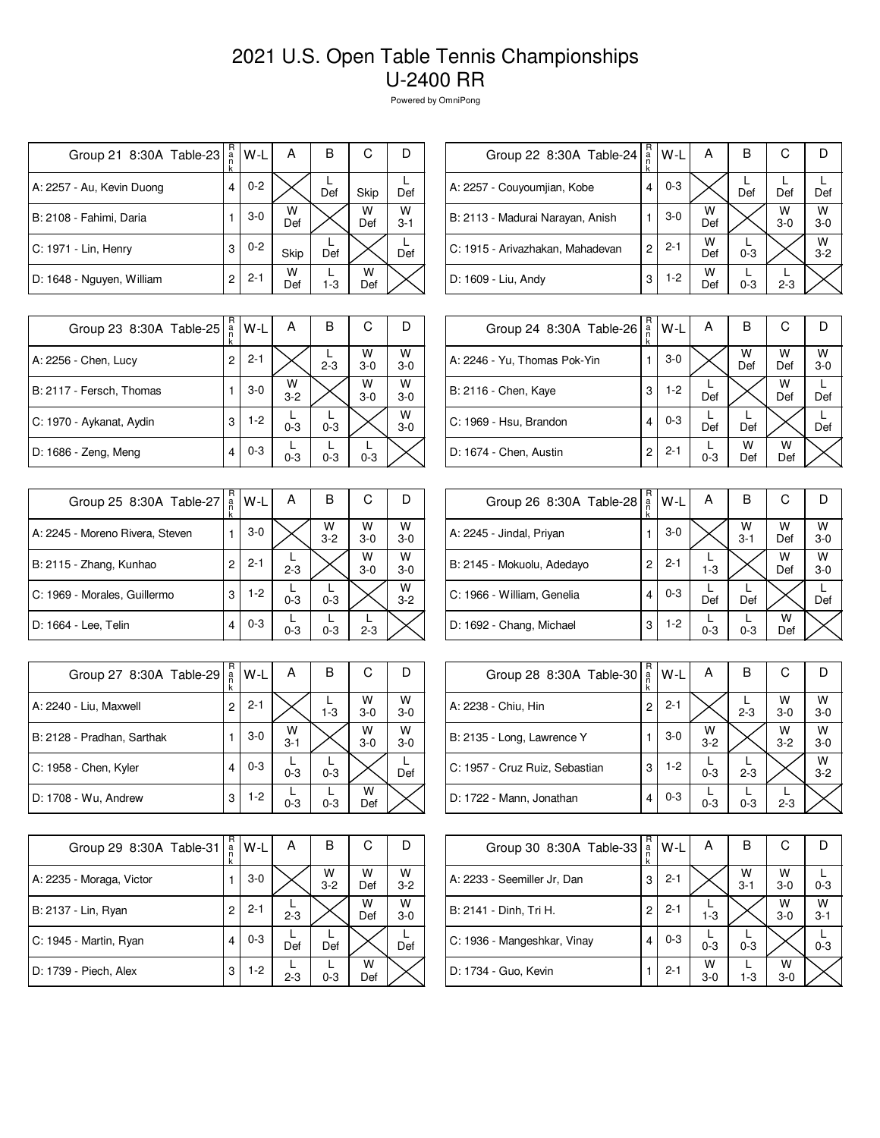| Group 21 8:30A Table-23   | R<br>a<br>n<br>k | W-L     | А        | в       | С        |              |
|---------------------------|------------------|---------|----------|---------|----------|--------------|
| A: 2257 - Au, Kevin Duong | 4                | $0 - 2$ |          | Def     | Skip     | Def          |
| B: 2108 - Fahimi, Daria   |                  | $3-0$   | W<br>Def |         | W<br>Def | W<br>$3 - 1$ |
| C: 1971 - Lin, Henry      | 3                | $0 - 2$ | Skip     | Def     |          | Def          |
| D: 1648 - Nguyen, William | 2                | $2 - 1$ | W<br>Def | $1 - 3$ | w<br>Def |              |

| Group 22 8:30A Table-24          | R<br>a<br>n<br>k | W-L     | А        | В       | С          |              |
|----------------------------------|------------------|---------|----------|---------|------------|--------------|
| A: 2257 - Couyoumjian, Kobe      | 4                | $0 - 3$ |          | Def     | Def        | Def          |
| B: 2113 - Madurai Narayan, Anish |                  | $3-0$   | w<br>Def |         | W<br>$3-0$ | W<br>$3-0$   |
| C: 1915 - Arivazhakan, Mahadevan | 2                | $2 - 1$ | w<br>Def | $0 - 3$ |            | W<br>$3 - 2$ |
| D: 1609 - Liu, Andy              | 3                | $1-2$   | W<br>Def | $0 - 3$ | $2 - 3$    |              |

| Group 23 8:30A Table-25  | R<br>a<br>n | $W-L$   | А            | B       | С          |              |
|--------------------------|-------------|---------|--------------|---------|------------|--------------|
| A: 2256 - Chen, Lucy     | 2           | $2 - 1$ |              | $2 - 3$ | W<br>$3-0$ | W<br>$3 - 0$ |
| B: 2117 - Fersch, Thomas |             | $3-0$   | W<br>$3 - 2$ |         | W<br>$3-0$ | W<br>$3 - 0$ |
| C: 1970 - Aykanat, Aydin | 3           | $1-2$   | $0 - 3$      | $0 - 3$ |            | W<br>$3-0$   |
| D: 1686 - Zeng, Meng     | 4           | $0 - 3$ | $0 - 3$      | $0 - 3$ | $0 - 3$    |              |

| Group 25 8:30A Table-27         | R<br>a<br>k | $W-L$   | А       | В            | С          |              |
|---------------------------------|-------------|---------|---------|--------------|------------|--------------|
| A: 2245 - Moreno Rivera, Steven |             | $3-0$   |         | W<br>$3 - 2$ | W<br>$3-0$ | W<br>$3 - 0$ |
| B: 2115 - Zhang, Kunhao         | 2           | $2 - 1$ | $2 - 3$ |              | W<br>$3-0$ | W<br>$3 - 0$ |
| C: 1969 - Morales, Guillermo    | 3           | $1-2$   | $0 - 3$ | $0 - 3$      |            | W<br>$3 - 2$ |
| D: 1664 - Lee, Telin            | 4           | $0 - 3$ | $0 - 3$ | $0 - 3$      | $2 - 3$    |              |

| Group 27 8:30A Table-29    | R<br>a<br>n<br>k | W-L     | А            | В       | С            | D            |
|----------------------------|------------------|---------|--------------|---------|--------------|--------------|
| A: 2240 - Liu, Maxwell     | $\overline{c}$   | $2 - 1$ |              | $1 - 3$ | W<br>$3 - 0$ | W<br>$3 - 0$ |
| B: 2128 - Pradhan, Sarthak |                  | $3-0$   | W<br>$3 - 1$ |         | W<br>$3 - 0$ | W<br>$3-0$   |
| C: 1958 - Chen, Kyler      | 4                | $0 - 3$ | $0 - 3$      | $0 - 3$ |              | Def          |
| D: 1708 - Wu, Andrew       | 3                | $1-2$   | $0 - 3$      | $0 - 3$ | w<br>Def     |              |

| Group 29 8:30A Table-31  | R<br>a<br>k | W-L     | А       | в            | С        |              |
|--------------------------|-------------|---------|---------|--------------|----------|--------------|
| A: 2235 - Moraga, Victor |             | $3-0$   |         | W<br>$3 - 2$ | W<br>Def | W<br>$3 - 2$ |
| B: 2137 - Lin, Ryan      | 2           | $2 - 1$ | $2 - 3$ |              | W<br>Def | W<br>$3 - 0$ |
| C: 1945 - Martin, Ryan   | 4           | $0 - 3$ | Def     | Def          |          | Def          |
| D: 1739 - Piech, Alex    | 3           | $1-2$   | $2 - 3$ | $0 - 3$      | W<br>Def |              |

| Group 24 8:30A Table-26      | R<br>a<br>k | W-L     | A       | в        | С        |            |
|------------------------------|-------------|---------|---------|----------|----------|------------|
| A: 2246 - Yu, Thomas Pok-Yin |             | $3-0$   |         | W<br>Def | W<br>Def | W<br>$3-0$ |
| B: 2116 - Chen, Kaye         | 3           | $1-2$   | Def     |          | W<br>Def | Def        |
| C: 1969 - Hsu, Brandon       | 4           | $0 - 3$ | Def     | Def      |          | Def        |
| D: 1674 - Chen, Austin       | 2           | $2 - 1$ | $0 - 3$ | w<br>Def | w<br>Def |            |

| Group 26 8:30A Table-28    | R<br>a | W-L     | A       | в            | С        |            |
|----------------------------|--------|---------|---------|--------------|----------|------------|
| A: 2245 - Jindal, Priyan   |        | $3-0$   |         | W<br>$3 - 1$ | W<br>Def | w<br>$3-0$ |
| B: 2145 - Mokuolu, Adedayo | 2      | $2 - 1$ | $1 - 3$ |              | W<br>Def | W<br>$3-0$ |
| C: 1966 - William, Genelia | 4      | $0 - 3$ | Def     | Def          |          | Def        |
| D: 1692 - Chang, Michael   | 3      | $1-2$   | $0 - 3$ | $0 - 3$      | W<br>Def |            |

| Group 28 8:30A Table-30        | R<br>$\frac{a}{n}$ | W-L     | Α            | в       | С          |              |
|--------------------------------|--------------------|---------|--------------|---------|------------|--------------|
| A: 2238 - Chiu, Hin            | 2                  | $2 - 1$ |              | $2 - 3$ | W<br>$3-0$ | W<br>$3 - 0$ |
| B: 2135 - Long, Lawrence Y     |                    | $3-0$   | W<br>$3 - 2$ |         | W<br>$3-2$ | W<br>$3-0$   |
| C: 1957 - Cruz Ruiz, Sebastian | 3                  | $1-2$   | $0 - 3$      | $2 - 3$ |            | W<br>$3-2$   |
| D: 1722 - Mann, Jonathan       | 4                  | $0 - 3$ | $0 - 3$      | $0 - 3$ | $2 - 3$    |              |

| Group 30 8:30A Table-33     | R<br>a | W-L     | A          | В            | С            |              |
|-----------------------------|--------|---------|------------|--------------|--------------|--------------|
| A: 2233 - Seemiller Jr, Dan | 3      | $2 - 1$ |            | W<br>$3 - 1$ | W<br>$3-0$   | $0 - 3$      |
| B: 2141 - Dinh, Tri H.      | 2      | $2 - 1$ | $1 - 3$    |              | W<br>$3-0$   | W<br>$3 - 1$ |
| C: 1936 - Mangeshkar, Vinay | 4      | $0 - 3$ | $0 - 3$    | $0 - 3$      |              | $0 - 3$      |
| D: 1734 - Guo, Kevin        |        | $2 - 1$ | W<br>$3-0$ | 1-3          | W<br>$3 - 0$ |              |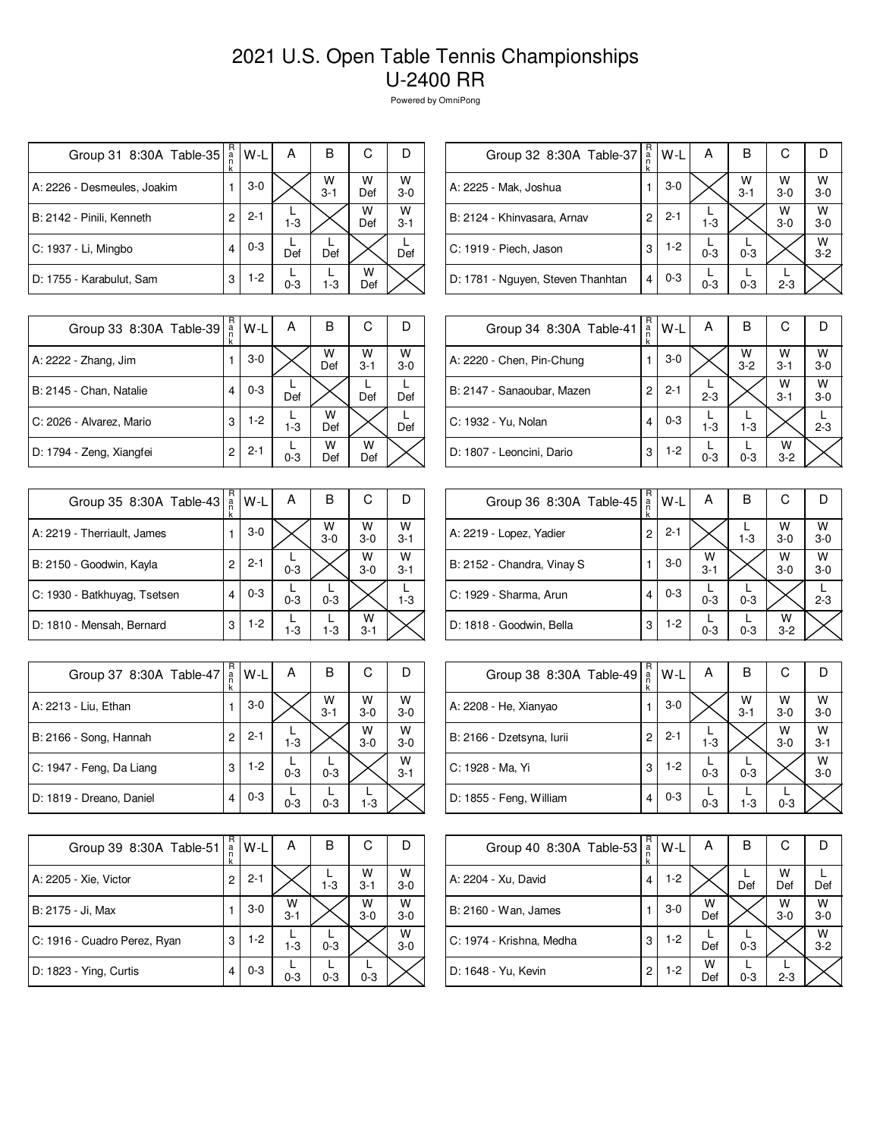| Group 31 8:30A Table-35     | R<br>a<br>n<br>k | W-L     | А       | B            | С        | D            |
|-----------------------------|------------------|---------|---------|--------------|----------|--------------|
| A: 2226 - Desmeules, Joakim |                  | $3-0$   |         | W<br>$3 - 1$ | w<br>Def | W<br>$3-0$   |
| B: 2142 - Pinili, Kenneth   | 2                | $2 - 1$ | $1 - 3$ |              | W<br>Def | W<br>$3 - 1$ |
| C: 1937 - Li, Mingbo        | 4                | $0 - 3$ | Def     | Def          |          | Def          |
| D: 1755 - Karabulut, Sam    | 3                | $1-2$   | $0 - 3$ | 1-3          | w<br>Def |              |

| Group 32 8:30A Table-37           | R<br>$\frac{a}{n}$ | W-L     | А       | в            | С          |              |
|-----------------------------------|--------------------|---------|---------|--------------|------------|--------------|
| A: 2225 - Mak, Joshua             |                    | $3-0$   |         | W<br>$3 - 1$ | W<br>$3-0$ | W<br>$3-0$   |
| B: 2124 - Khinvasara, Arnav       | 2                  | $2 - 1$ | $1 - 3$ |              | W<br>$3-0$ | W<br>$3-0$   |
| C: 1919 - Piech, Jason            | 3                  | $1-2$   | $0 - 3$ | $0 - 3$      |            | W<br>$3 - 2$ |
| D: 1781 - Nguyen, Steven Thanhtan | 4                  | $0 - 3$ | $0 - 3$ | $0 - 3$      | $2 - 3$    |              |

| Group 33 8:30A Table-39  | R<br>$\frac{a}{n}$<br>k | $W-L$   | А       | в        | С            |            |
|--------------------------|-------------------------|---------|---------|----------|--------------|------------|
| A: 2222 - Zhang, Jim     |                         | $3-0$   |         | W<br>Def | W<br>$3 - 1$ | W<br>$3-0$ |
| B: 2145 - Chan, Natalie  | 4                       | $0 - 3$ | Def     |          | Def          | Def        |
| C: 2026 - Alvarez, Mario | 3                       | 1-2     | $1 - 3$ | w<br>Def |              | Def        |
| D: 1794 - Zeng, Xiangfei | 2                       | $2 - 1$ | $0 - 3$ | w<br>Def | w<br>Def     |            |

| Group 35 8:30A Table-43      | R<br>a<br>k | $W-L$   | А       | В            | С            |              |
|------------------------------|-------------|---------|---------|--------------|--------------|--------------|
| A: 2219 - Therriault, James  |             | $3-0$   |         | W<br>$3 - 0$ | W<br>$3-0$   | W<br>$3 - 1$ |
| B: 2150 - Goodwin, Kayla     | 2           | $2 - 1$ | $0 - 3$ |              | W<br>$3-0$   | W<br>$3 - 1$ |
| C: 1930 - Batkhuyag, Tsetsen |             | $0 - 3$ | $0 - 3$ | $0 - 3$      |              | $1 - 3$      |
| D: 1810 - Mensah, Bernard    | 3           | $1-2$   | $1-3$   | $1 - 3$      | w<br>$3 - 1$ |              |

| Group 37 8:30A Table-47  | R<br>a<br>n<br>k | W-L     | А       | В            | С          |              |
|--------------------------|------------------|---------|---------|--------------|------------|--------------|
| A: 2213 - Liu, Ethan     |                  | $3-0$   |         | W<br>$3 - 1$ | W<br>$3-0$ | W<br>$3 - 0$ |
| B: 2166 - Song, Hannah   | 2                | $2 - 1$ | $1 - 3$ |              | W<br>$3-0$ | W<br>$3-0$   |
| C: 1947 - Feng, Da Liang | 3                | 1-2     | $0 - 3$ | $0 - 3$      |            | W<br>$3 - 1$ |
| D: 1819 - Dreano, Daniel |                  | $0 - 3$ | $0 - 3$ | $0 - 3$      | $1-3$      |              |

| Group 39 8:30A Table-51      | R<br>$\frac{a}{n}$ | W-L     | А            | в       | С            |            |
|------------------------------|--------------------|---------|--------------|---------|--------------|------------|
|                              | k                  |         |              |         |              |            |
| A: 2205 - Xie, Victor        | 2                  | $2 - 1$ |              | $1 - 3$ | w<br>$3 - 1$ | W<br>$3-0$ |
| B: 2175 - Ji, Max            |                    | $3-0$   | W<br>$3 - 1$ |         | w<br>$3-0$   | W<br>$3-0$ |
| C: 1916 - Cuadro Perez, Ryan | 3                  | $1 - 2$ | $1 - 3$      | $0 - 3$ |              | W<br>$3-0$ |
| D: 1823 - Ying, Curtis       | 4                  | $0 - 3$ | $0 - 3$      | $0 - 3$ | $0 - 3$      |            |

| Group 34 8:30A Table-41    | R<br>a<br>n<br>k | W-L     | Α       | в            | С            |              |
|----------------------------|------------------|---------|---------|--------------|--------------|--------------|
| A: 2220 - Chen, Pin-Chung  |                  | $3-0$   |         | W<br>$3 - 2$ | w<br>$3 - 1$ | w<br>$3 - 0$ |
| B: 2147 - Sanaoubar, Mazen | 2                | $2 - 1$ | $2 - 3$ |              | w<br>$3 - 1$ | w<br>$3-0$   |
| C: 1932 - Yu, Nolan        | 4                | $0 - 3$ | $1-3$   | $1 - 3$      |              | $2 - 3$      |
| D: 1807 - Leoncini, Dario  | 3                | 1-2     | $0 - 3$ | $0 - 3$      | w<br>$3 - 2$ |              |

| Group 36 8:30A Table-45    | R<br>a | W-L     | A            | в       | С            | D          |
|----------------------------|--------|---------|--------------|---------|--------------|------------|
| A: 2219 - Lopez, Yadier    | 2      | $2 - 1$ |              | $1 - 3$ | W<br>$3-0$   | W<br>$3-0$ |
| B: 2152 - Chandra, Vinay S |        | $3-0$   | w<br>$3 - 1$ |         | W<br>$3-0$   | W<br>$3-0$ |
| C: 1929 - Sharma, Arun     | 4      | $0 - 3$ | $0 - 3$      | $0 - 3$ |              | $2 - 3$    |
| D: 1818 - Goodwin, Bella   | 3      | 1-2     | $0 - 3$      | $0 - 3$ | W<br>$3 - 2$ |            |

| Group 38 8:30A Table-49   | R<br>$\frac{a}{n}$ | W-L     | A       | в               | С          |              |
|---------------------------|--------------------|---------|---------|-----------------|------------|--------------|
| A: 2208 - He, Xianyao     |                    | $3-0$   |         | $\frac{W}{3-1}$ | W<br>$3-0$ | W<br>$3 - 0$ |
| B: 2166 - Dzetsyna, lurii | 2                  | $2 - 1$ | $1 - 3$ |                 | W<br>$3-0$ | W<br>$3 - 1$ |
| C: 1928 - Ma, Yi          | 3                  | $1-2$   | $0 - 3$ | $0 - 3$         |            | W<br>$3-0$   |
| D: 1855 - Feng, William   | 4                  | $0 - 3$ | $0 - 3$ | $1 - 3$         | $0 - 3$    |              |

| Group 40 8:30A Table-53  | R<br>$\frac{a}{n}$ | W-L     | A        | в       | С          |              |
|--------------------------|--------------------|---------|----------|---------|------------|--------------|
| A: 2204 - Xu, David      | 4                  | $1-2$   |          | Def     | W<br>Def   | Def          |
| B: 2160 - Wan, James     |                    | $3-0$   | W<br>Def |         | W<br>$3-0$ | W<br>$3 - 0$ |
| C: 1974 - Krishna, Medha | 3                  | $1-2$   | Def      | $0 - 3$ |            | W<br>$3-2$   |
| D: 1648 - Yu, Kevin      | 2                  | $1 - 2$ | W<br>Def | $0 - 3$ | $2 - 3$    |              |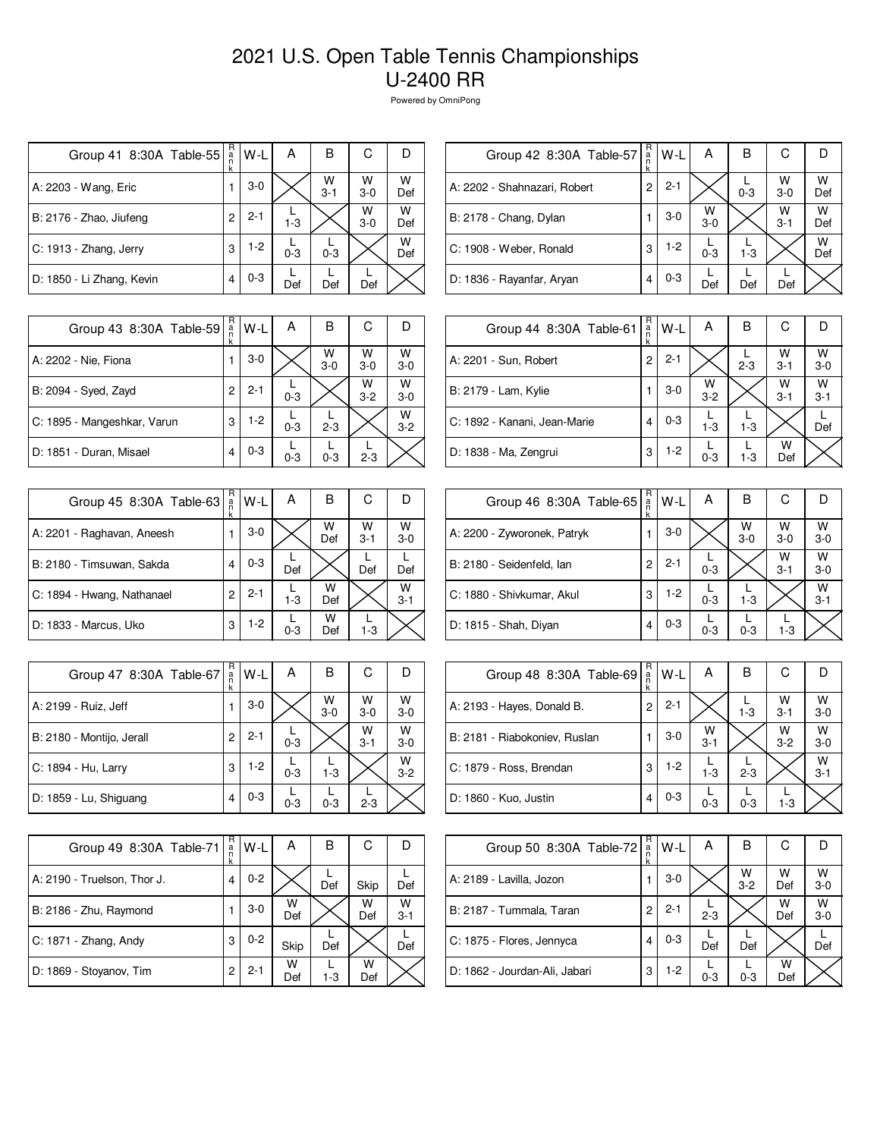| Group 41 8:30A Table-55   | R<br>a<br>n<br>k | W-L     | А       | в            | С          |          |
|---------------------------|------------------|---------|---------|--------------|------------|----------|
| A: 2203 - Wang, Eric      |                  | $3-0$   |         | W<br>$3 - 1$ | W<br>$3-0$ | W<br>Def |
| B: 2176 - Zhao, Jiufeng   | 2                | $2 - 1$ | $1 - 3$ |              | W<br>$3-0$ | w<br>Def |
| C: 1913 - Zhang, Jerry    | 3                | $1-2$   | $0 - 3$ | $0 - 3$      |            | W<br>Def |
| D: 1850 - Li Zhang, Kevin | 4                | $0 - 3$ | Def     | Def          | Def        |          |

| Group 42 8:30A Table-57      | R<br>a<br>n<br>k | W-L     | А          | В       | С            |          |
|------------------------------|------------------|---------|------------|---------|--------------|----------|
| A: 2202 - Shahnazari, Robert | 2                | $2 - 1$ |            | $0 - 3$ | W<br>$3-0$   | w<br>Def |
| B: 2178 - Chang, Dylan       |                  | $3-0$   | w<br>$3-0$ |         | W<br>$3 - 1$ | w<br>Def |
| C: 1908 - Weber, Ronald      | 3                | $1-2$   | $0 - 3$    | $1 - 3$ |              | w<br>Def |
| D: 1836 - Rayanfar, Aryan    | 4                | $0 - 3$ | Def        | Def     | Def          |          |

| Group 43 8:30A Table-59     | R<br>a<br>n<br>k | W-L     | A       | в            | С            |                    |
|-----------------------------|------------------|---------|---------|--------------|--------------|--------------------|
| A: 2202 - Nie, Fiona        |                  | $3-0$   |         | W<br>$3 - 0$ | W<br>$3-0$   | W<br>$3 - 0$       |
| B: 2094 - Syed, Zayd        | 2                | $2 - 1$ | $0 - 3$ |              | W<br>$3 - 2$ | W<br>$3 - 0$       |
| C: 1895 - Mangeshkar, Varun | 3                | $1-2$   | $0 - 3$ | $2 - 3$      |              | $W$ <sub>3-2</sub> |
| D: 1851 - Duran, Misael     | 4                | $0 - 3$ | $0 - 3$ | $0 - 3$      | $2 - 3$      |                    |

| Group 45 8:30A Table-63    | R<br>a<br>k | W-L     | А       | В        | С            |              |
|----------------------------|-------------|---------|---------|----------|--------------|--------------|
| A: 2201 - Raghavan, Aneesh |             | $3-0$   |         | W<br>Def | W<br>$3 - 1$ | W<br>$3 - 0$ |
| B: 2180 - Timsuwan, Sakda  |             | $0 - 3$ | Def     |          | Def          | Def          |
| C: 1894 - Hwang, Nathanael | 2           | $2 - 1$ | $1 - 3$ | W<br>Def |              | W<br>$3 - 1$ |
| D: 1833 - Marcus, Uko      | 3           | $1-2$   | $0 - 3$ | w<br>Def | $1 - 3$      |              |

| Group 47 8:30A Table-67   | R<br>$\frac{a}{n}$<br>k | W-L     | А       | в            | С            | D            |
|---------------------------|-------------------------|---------|---------|--------------|--------------|--------------|
| A: 2199 - Ruiz, Jeff      |                         | $3-0$   |         | W<br>$3 - 0$ | W<br>$3 - 0$ | W<br>$3 - 0$ |
| B: 2180 - Montijo, Jerall | 2                       | $2 - 1$ | $0 - 3$ |              | W<br>$3 - 1$ | W<br>$3-0$   |
| C: 1894 - Hu, Larry       | 3                       | $1-2$   | $0 - 3$ | $1 - 3$      |              | W<br>$3 - 2$ |
| D: 1859 - Lu, Shiguang    | 4                       | $0 - 3$ | $0 - 3$ | $0 - 3$      | $2 - 3$      |              |

| Group 49 8:30A Table-71     | R<br>a<br>n<br>k | W-L     | А        | в     | С        |              |
|-----------------------------|------------------|---------|----------|-------|----------|--------------|
| A: 2190 - Truelson, Thor J. | 4                | $0 - 2$ |          | Def   | Skip     | Def          |
| B: 2186 - Zhu, Raymond      |                  | $3-0$   | W<br>Def |       | w<br>Def | W<br>$3 - 1$ |
| C: 1871 - Zhang, Andy       | 3                | $0 - 2$ | Skip     | Def   |          | Def          |
| D: 1869 - Stoyanov, Tim     | 2                | $2 - 1$ | w<br>Def | $1-3$ | w<br>Def |              |

| Group 44 8:30A Table-61      | R<br>$\frac{a}{n}$<br>k | W-L     | A            | B       | C            |              |
|------------------------------|-------------------------|---------|--------------|---------|--------------|--------------|
| A: 2201 - Sun, Robert        | 2                       | $2 - 1$ |              | $2 - 3$ | W<br>$3 - 1$ | W<br>$3 - 0$ |
| B: 2179 - Lam, Kylie         |                         | $3-0$   | W<br>$3 - 2$ |         | W<br>$3 - 1$ | W<br>$3 - 1$ |
| C: 1892 - Kanani, Jean-Marie | 4                       | $0 - 3$ | $1 - 3$      | $1 - 3$ |              | Def          |
| D: 1838 - Ma, Zengrui        | 3                       | $1-2$   | $0 - 3$      | $1 - 3$ | W<br>Def     |              |

| Group 46 8:30A Table-65     | R<br>a<br>n | W-L     | А       | В          | С            |              |
|-----------------------------|-------------|---------|---------|------------|--------------|--------------|
| A: 2200 - Zyworonek, Patryk |             | $3-0$   |         | W<br>$3-0$ | W<br>$3-0$   | W<br>$3-0$   |
| B: 2180 - Seidenfeld, Ian   | 2           | $2 - 1$ | $0 - 3$ |            | W<br>$3 - 1$ | w<br>$3-0$   |
| C: 1880 - Shivkumar, Akul   | 3           | $1-2$   | $0 - 3$ | $1 - 3$    |              | w<br>$3 - 1$ |
| D: 1815 - Shah, Diyan       | 4           | $0 - 3$ | $0 - 3$ | $0 - 3$    | $1 - 3$      |              |

| Group 48 8:30A Table-69       | R<br>$\frac{a}{n}$ | $W-L$   | А            | в       | С                  |                    |
|-------------------------------|--------------------|---------|--------------|---------|--------------------|--------------------|
| A: 2193 - Hayes, Donald B.    | 2                  | $2 - 1$ |              | $1 - 3$ | $W$ <sub>3-1</sub> | $W$ <sub>3-0</sub> |
| B: 2181 - Riabokoniev, Ruslan |                    | $3-0$   | W<br>$3 - 1$ |         | W<br>$3 - 2$       | W<br>$3 - 0$       |
| C: 1879 - Ross, Brendan       | 3                  | $1-2$   | $1-3$        | $2 - 3$ |                    | W<br>$3 - 1$       |
| D: 1860 - Kuo, Justin         | 4                  | $0 - 3$ | $0 - 3$      | $0 - 3$ | $1 - 3$            |                    |

| Group 50 8:30A Table-72       | R<br>$\frac{a}{n}$ | W-L     | А       | В            | С        |            |
|-------------------------------|--------------------|---------|---------|--------------|----------|------------|
| A: 2189 - Lavilla, Jozon      |                    | $3-0$   |         | w<br>$3 - 2$ | W<br>Def | W<br>$3-0$ |
| B: 2187 - Tummala, Taran      | 2                  | $2 - 1$ | $2 - 3$ |              | W<br>Def | W<br>$3-0$ |
| C: 1875 - Flores, Jennyca     | 4                  | $0 - 3$ | Def     | Def          |          | Def        |
| D: 1862 - Jourdan-Ali, Jabari | 3                  | $1-2$   | $0 - 3$ | $0 - 3$      | W<br>Def |            |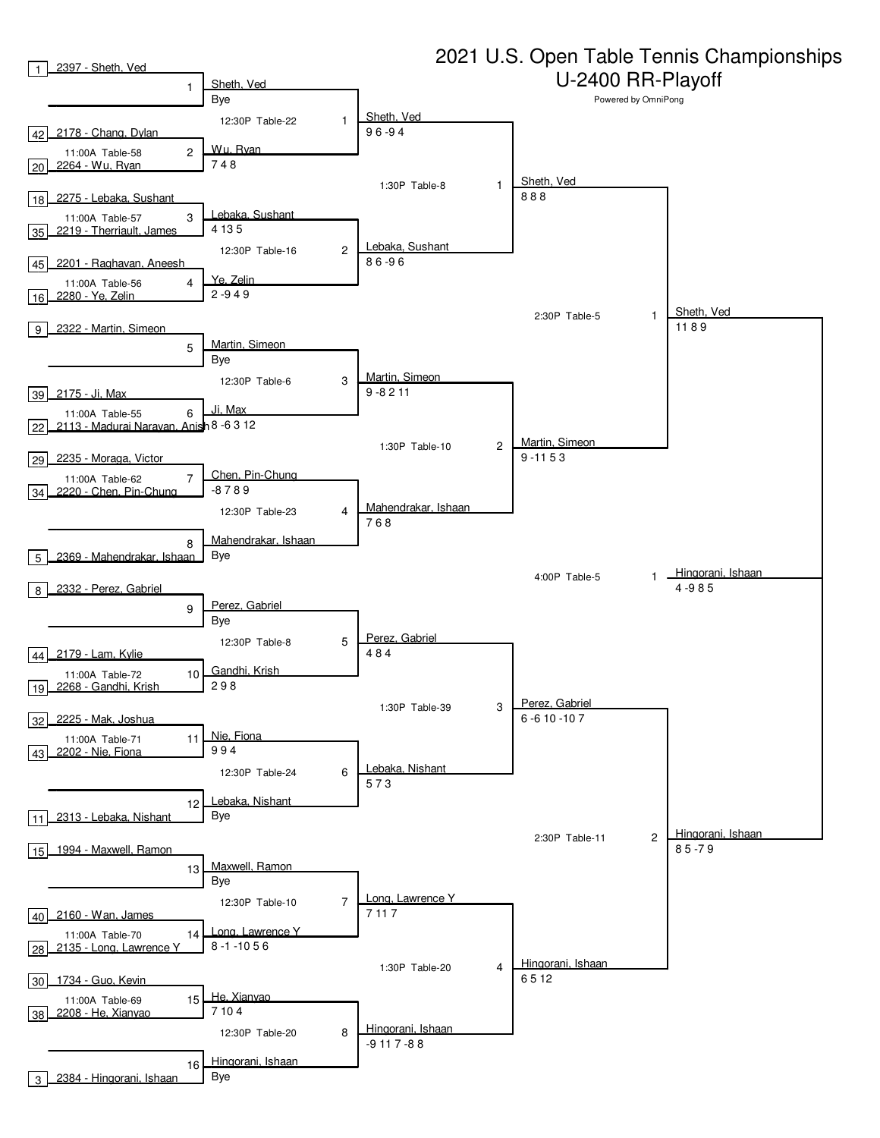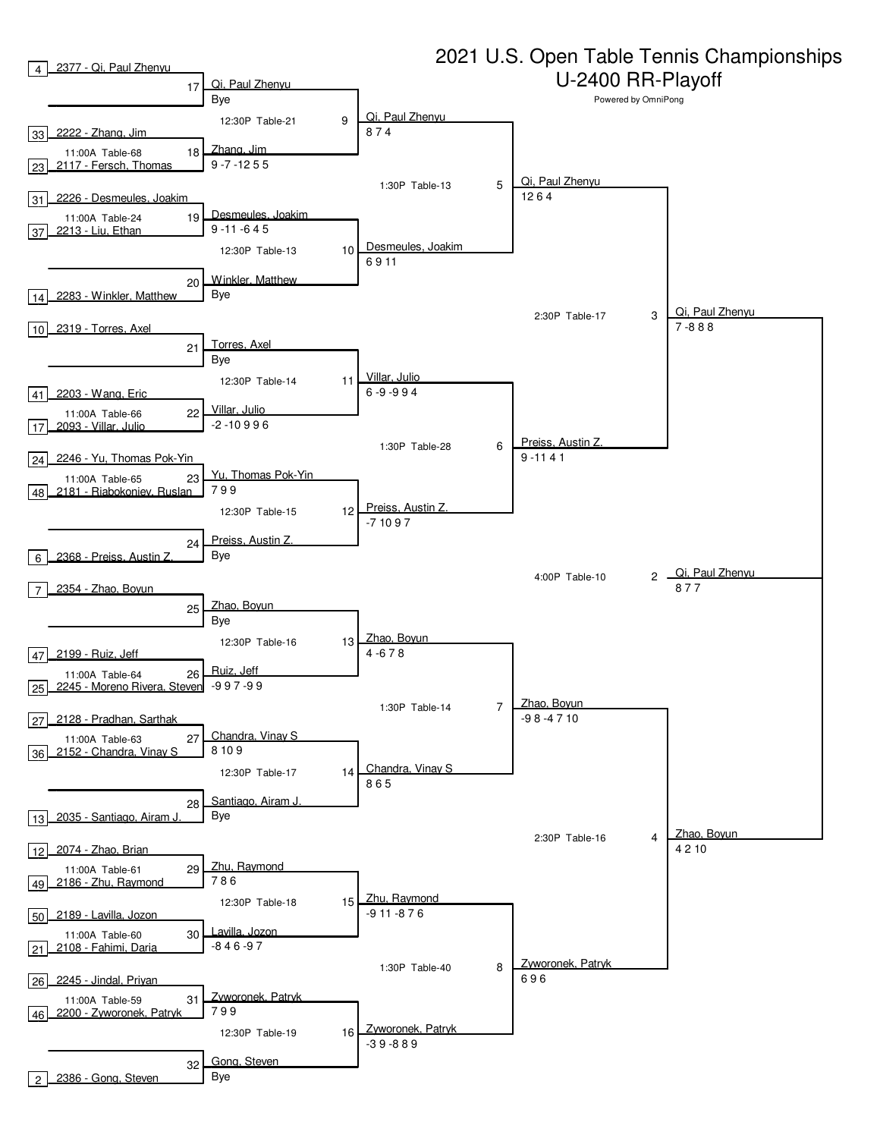